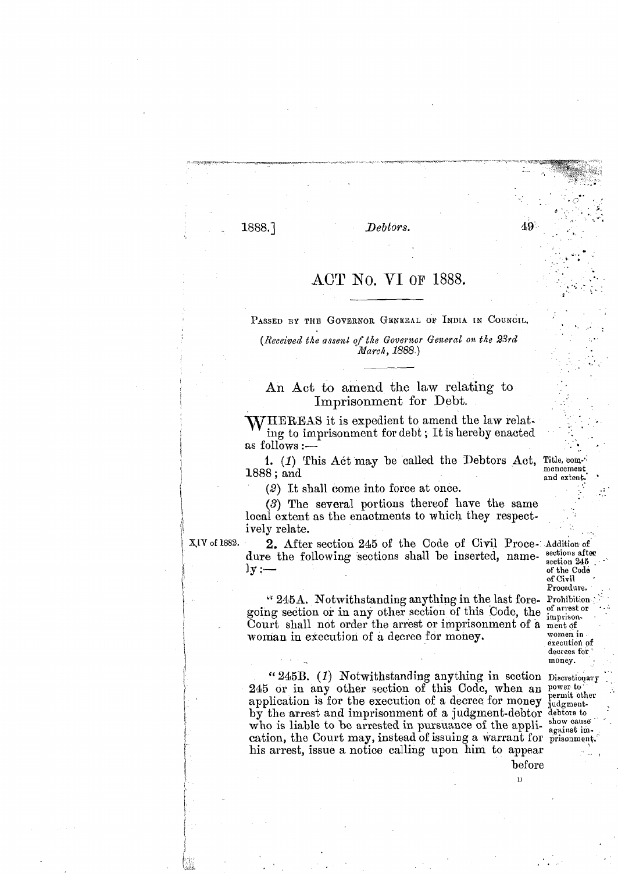1888.]

Deblors.

## ACT No. VI OF 1888.

PASSED BY THE GOVERNOR GENERAL OF INDIA IN COUNCIL.

(Received the assent of the Governor General on the 23rd March, 1888.)

## An Act to amend the law relating to Imprisonment for Debt.

WHEREAS it is expedient to amend the law relating to imprisonment for debt; It is hereby enacted as follows :-

1. (1) This Act may be called the Debtors Act, 1888; and

 $(2)$  It shall come into force at once.

(3) The several portions thereof have the same local extent as the enactments to which they respectively relate.

XIV of 1882.

2. After section 245 of the Code of Civil Proce. Addition of dure the following sections shall be inserted, name-sections after  $\mathbf{y}$  : —

" 245A. Notwithstanding anything in the last fore- Prohibition going section or in any other section of this Code, the contractor Court shall not order the arrest or imprisonment of a ment of woman in execution of a decree for money.

"245B. (1) Notwithstanding anything in section Discretionary 245 or in any other section of this Code, when an power to application is for the execution of a decree for money by the arrest and imprisonment of a judgment-debtor debtors to who is liable to be arrested in pursuance of the appli-<br>cation, the Court may, instead of issuing a warrant for prisonment. his arrest, issue a notice calling upon him to appear

Title commencement and extent.

49

section 245 of the Code of Civil Procedure. imprisonwomen in execution of decrees for money.

permit other judgment-

before D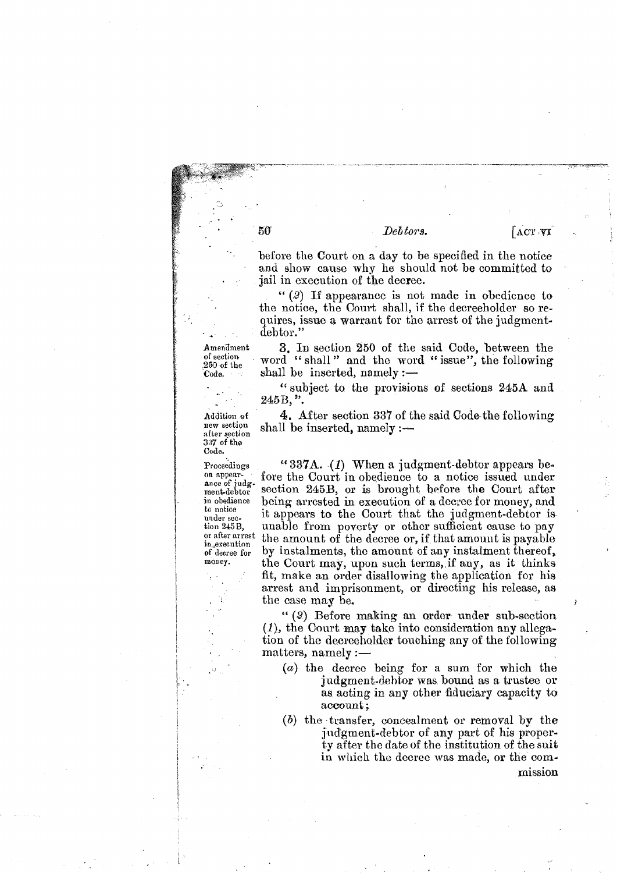Debtors.

ACT VI

before the Court on a day to be specified in the notice and show cause why he should not be committed to jail in execution of the decree.

" $(2)$  If appearance is not made in obedience to the notice, the Court shall, if the decreeholder so requires, issue a warrant for the arrest of the judgmentdebtor."

3. In section 250 of the said Code, between the word "shall" and the word "issue", the following shall be inserted, namely  $:$   $-$ 

"subject to the provisions of sections 245A and  $245B,$ ".

4. After section 337 of the said Code the following shall be inserted, namely :-

"337A.  $(I)$  When a judgment-debtor appears before the Court in obedience to a notice issued under section 245B, or is brought before the Court after being arrested in execution of a decree for money, and it appears to the Court that the judgment-debtor is unable from poverty or other sufficient cause to pay the amount of the decree or, if that amount is payable by instalments, the amount of any instalment thereof, the Court may, upon such terms, if any, as it thinks fit, make an order disallowing the application for his arrest and imprisonment, or directing his release, as the case may be.

"(2) Before making an order under sub-section  $(1)$ , the Court may take into consideration any allegation of the decreeholder touching any of the following  $matters, namely:$ 

- (a) the decree being for a sum for which the judgment-debtor was bound as a trustee or as acting in any other fiduciary capacity to account;
- $(b)$  the transfer, concealment or removal by the judgment-debtor of any part of his property after the date of the institution of the suit in which the decree was made, or the commission

Amendment of section  $250$  of the Code.

50

Addition of new section after section 337 of the Code.

Proceedings on appear-<br>ance of judg. ment-debtor in obedience to notice under sec tion 245B, or after arrest in.execution of decree for money.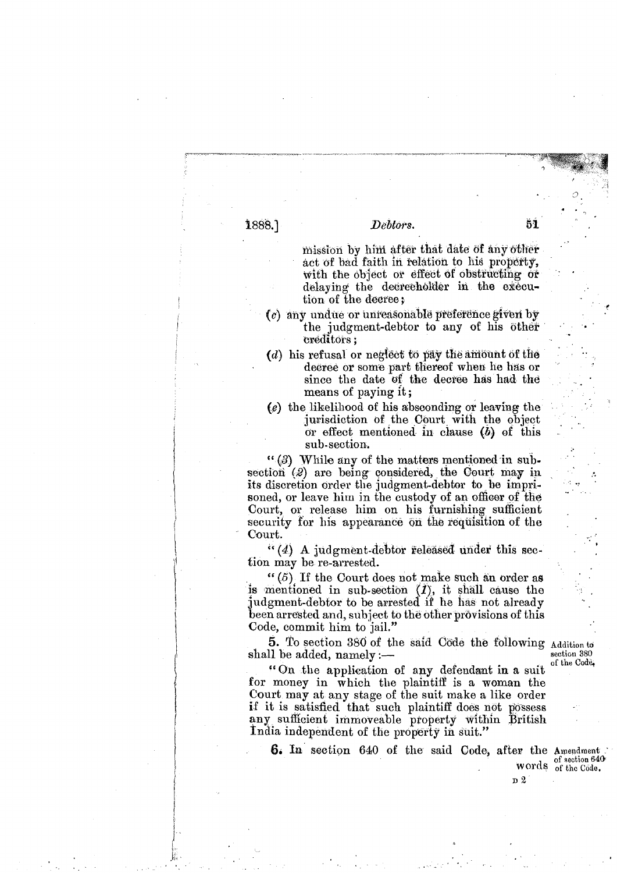1888.]

## Debtors.

mission by him after that date of any other act of bad faith in relation to his property, with the object or effect of obstructing or delaying the decreeholder in the execution of the decree;

51

- (c) any undue or unreasonable preference given by the judgment-debtor to any of his other creditors;
- (d) his refusal or neglect to pay the amount of the decree or some part thereof when he has or since the date of the decree has had the means of paying it;
- $(e)$  the likelihood of his absconding or leaving the jurisdiction of the Court with the object or effect mentioned in clause  $(b)$  of this sub-section.

"(3) While any of the matters mentioned in subsection (2) are being considered, the Court may in its discretion order the judgment-debtor to be imprisoned, or leave him in the custody of an officer of the Court, or release him on his furnishing sufficient security for his appearance on the requisition of the Court.

 $(4)$  A judgment-debtor released under this section may be re-arrested.

" $(5)$  If the Court does not make such an order as is mentioned in sub-section  $(1)$ , it shall cause the judgment-debtor to be arrested if he has not already been arrested and, subject to the other provisions of this Code, commit him to jail."

5. To section 380 of the said Code the following Addition to shall be added, namely :-

of the Code, "On the application of any defendant in a suit for money in which the plaintiff is a woman the Court may at any stage of the suit make a like order if it is satisfied that such plaintiff does not possess any sufficient immoveable property within British India independent of the property in suit."

**6.** In section 640 of the said Code, after the Amendment.

section 380

words of section 640

D 2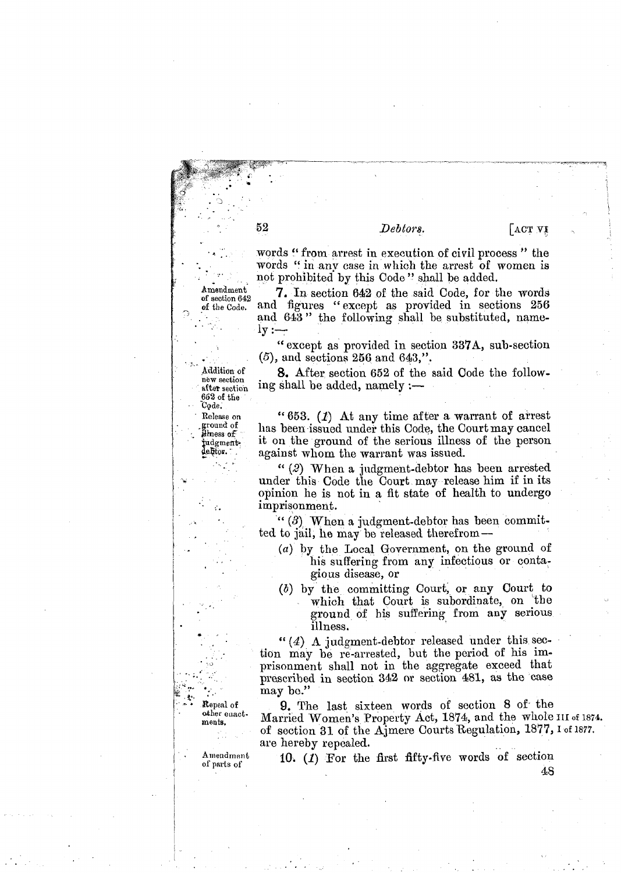Debtors.

words "from arrest in execution of civil process" the

[АСТ VI

words "in any case in which the arrest of women is Amendment of section 642 of the Code.

Addition of

new section

after section 652 of the Code.

Release on ground of

ilmess of

judgmentdebtor.

52

not prohibited by this Code" shall be added. 7. In section 642 of the said Code, for the words and figures "except as provided in sections 256 and 643" the following shall be substituted, namely :-

"except as provided in section 337A, sub-section  $(5)$ , and sections 256 and 643,".

**8.** After section 652 of the said Code the following shall be added, namely :—

" $653. (1)$  At any time after a warrant of arrest has been issued under this Code, the Court may cancel it on the ground of the serious illness of the person against whom the warrant was issued.

" $(2)$  When a judgment-debtor has been arrested under this Code the Court may release him if in its opinion he is not in a fit state of health to undergo imprisonment.

" $(3)$  When a judgment-debtor has been committed to jail, he may be released therefrom-

- (a) by the Local Government, on the ground of his suffering from any infectious or contagious disease, or
- (b) by the committing Court, or any Court to which that Court is subordinate, on the ground of his suffering from any serious illness.

" $(4)$  A judgment-debtor released under this section may be re-arrested, but the period of his imprisonment shall not in the aggregate exceed that prescribed in section 342 or section 481, as the case may be."

9. The last sixteen words of section 8 of the Married Women's Property Act, 1874, and the whole III of 1874. of section 31 of the Ajmere Courts Regulation, 1877, 1 of 1877. are hereby repealed.

Repeal of other enact. ments. tl.:

> Amendment of parts of

10. (1) For the first fifty-five words of section

48